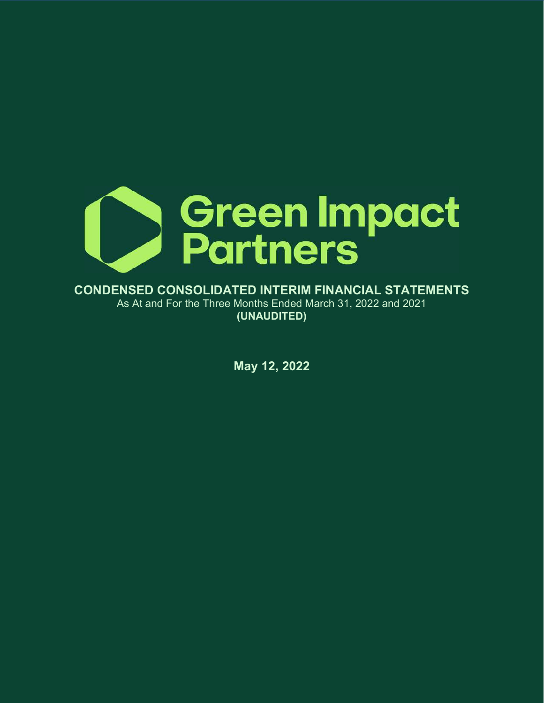

CONDENSED CONSOLIDATED INTERIM FINANCIAL STATEMENTS As At and For the Three Months Ended March 31, 2022 and 2021 (UNAUDITED)

May 12, 2022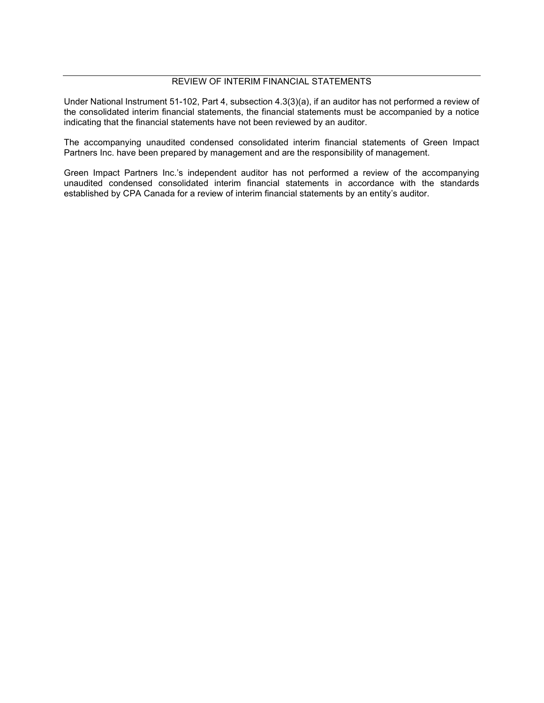# REVIEW OF INTERIM FINANCIAL STATEMENTS

Under National Instrument 51-102, Part 4, subsection 4.3(3)(a), if an auditor has not performed a review of the consolidated interim financial statements, the financial statements must be accompanied by a notice indicating that the financial statements have not been reviewed by an auditor.

The accompanying unaudited condensed consolidated interim financial statements of Green Impact Partners Inc. have been prepared by management and are the responsibility of management.

Green Impact Partners Inc.'s independent auditor has not performed a review of the accompanying unaudited condensed consolidated interim financial statements in accordance with the standards established by CPA Canada for a review of interim financial statements by an entity's auditor.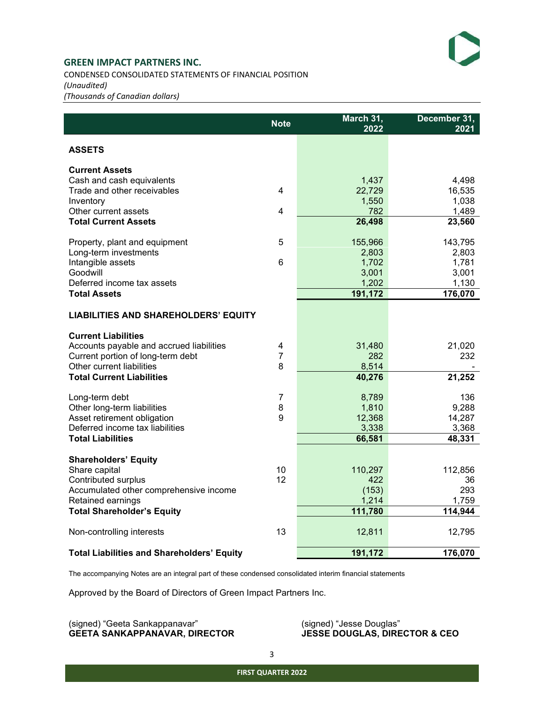CONDENSED CONSOLIDATED STATEMENTS OF FINANCIAL POSITION (Unaudited) (Thousands of Canadian dollars)

|                                                          | <b>Note</b>             | March 31,<br>2022 | December 31,<br>2021 |
|----------------------------------------------------------|-------------------------|-------------------|----------------------|
| <b>ASSETS</b>                                            |                         |                   |                      |
| <b>Current Assets</b>                                    |                         |                   |                      |
| Cash and cash equivalents<br>Trade and other receivables | $\overline{\mathbf{4}}$ | 1,437             | 4,498                |
| Inventory                                                |                         | 22,729<br>1,550   | 16,535<br>1,038      |
| Other current assets                                     | 4                       | 782               | 1,489                |
| <b>Total Current Assets</b>                              |                         | 26,498            | 23,560               |
| Property, plant and equipment                            | 5                       | 155,966           | 143,795              |
| Long-term investments                                    |                         | 2,803             | 2,803                |
| Intangible assets                                        | 6                       | 1,702             | 1,781                |
| Goodwill<br>Deferred income tax assets                   |                         | 3,001             | 3,001                |
| <b>Total Assets</b>                                      |                         | 1,202<br>191,172  | 1,130<br>176,070     |
|                                                          |                         |                   |                      |
| <b>LIABILITIES AND SHAREHOLDERS' EQUITY</b>              |                         |                   |                      |
| <b>Current Liabilities</b>                               |                         |                   |                      |
| Accounts payable and accrued liabilities                 | 4                       | 31,480            | 21,020               |
| Current portion of long-term debt                        | 7                       | 282               | 232                  |
| Other current liabilities                                | 8                       | 8,514             |                      |
| <b>Total Current Liabilities</b>                         |                         | 40,276            | 21,252               |
| Long-term debt                                           | $\overline{7}$          | 8,789             | 136                  |
| Other long-term liabilities                              | 8                       | 1,810             | 9,288                |
| Asset retirement obligation                              | 9                       | 12,368            | 14,287               |
| Deferred income tax liabilities                          |                         | 3,338             | 3,368                |
| <b>Total Liabilities</b>                                 |                         | 66,581            | 48,331               |
| <b>Shareholders' Equity</b>                              |                         |                   |                      |
| Share capital                                            | 10                      | 110,297           | 112,856              |
| Contributed surplus                                      | 12                      | 422               | 36                   |
| Accumulated other comprehensive income                   |                         | (153)             | 293                  |
| Retained earnings<br><b>Total Shareholder's Equity</b>   |                         | 1,214<br>111,780  | 1,759<br>114,944     |
|                                                          |                         |                   |                      |
| Non-controlling interests                                | 13                      | 12,811            | 12,795               |
| <b>Total Liabilities and Shareholders' Equity</b>        |                         | 191,172           | 176,070              |

The accompanying Notes are an integral part of these condensed consolidated interim financial statements

Approved by the Board of Directors of Green Impact Partners Inc.

(signed) "Geeta Sankappanavar" (signed) "Jesse Douglas" GEETA SANKAPPANAVAR, DIRECTOR JESSE DOUGLAS, DIRECTOR & CEO GEETA SANKAPPANAVAR, DIRECTOR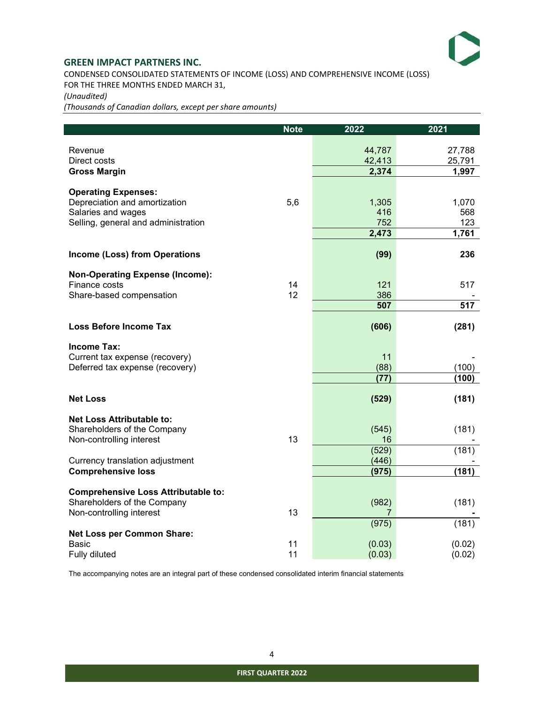

CONDENSED CONSOLIDATED STATEMENTS OF INCOME (LOSS) AND COMPREHENSIVE INCOME (LOSS) FOR THE THREE MONTHS ENDED MARCH 31,

(Unaudited)

(Thousands of Canadian dollars, except per share amounts)

|                                                              | <b>Note</b> | 2022           | 2021   |
|--------------------------------------------------------------|-------------|----------------|--------|
| Revenue                                                      |             | 44,787         | 27,788 |
| Direct costs                                                 |             | 42,413         | 25,791 |
| <b>Gross Margin</b>                                          |             | 2,374          | 1,997  |
| <b>Operating Expenses:</b>                                   |             |                |        |
| Depreciation and amortization                                | 5,6         | 1,305          | 1,070  |
| Salaries and wages                                           |             | 416            | 568    |
| Selling, general and administration                          |             | 752            | 123    |
|                                                              |             | 2,473          | 1,761  |
| <b>Income (Loss) from Operations</b>                         |             | (99)           | 236    |
| <b>Non-Operating Expense (Income):</b>                       |             |                |        |
| Finance costs                                                | 14          | 121            | 517    |
| Share-based compensation                                     | 12          | 386            |        |
|                                                              |             | 507            | 517    |
| <b>Loss Before Income Tax</b>                                |             | (606)          | (281)  |
| <b>Income Tax:</b>                                           |             |                |        |
| Current tax expense (recovery)                               |             | 11             |        |
| Deferred tax expense (recovery)                              |             | (88)           | (100)  |
|                                                              |             | (77)           | (100)  |
| <b>Net Loss</b>                                              |             | (529)          | (181)  |
| <b>Net Loss Attributable to:</b>                             |             |                |        |
| Shareholders of the Company                                  |             | (545)          | (181)  |
| Non-controlling interest                                     | 13          | 16             |        |
|                                                              |             | (529)          | (181)  |
| Currency translation adjustment<br><b>Comprehensive loss</b> |             | (446)<br>(975) | (181)  |
|                                                              |             |                |        |
| <b>Comprehensive Loss Attributable to:</b>                   |             |                |        |
| Shareholders of the Company                                  |             | (982)          | (181)  |
| Non-controlling interest                                     | 13          | 7<br>(975)     | (181)  |
| <b>Net Loss per Common Share:</b>                            |             |                |        |
| <b>Basic</b>                                                 | 11          | (0.03)         | (0.02) |
| Fully diluted                                                | 11          | (0.03)         | (0.02) |

The accompanying notes are an integral part of these condensed consolidated interim financial statements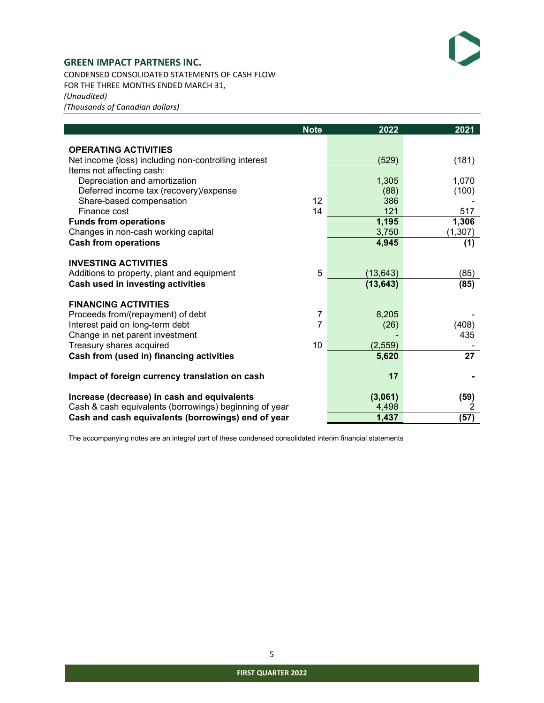CONDENSED CONSOLIDATED STATEMENTS OF CASH FLOW FOR THE THREE MONTHS ENDED MARCH 31, (Unaudited) (Thousands of Canadian dollars)

|                                                                                   | <b>Note</b>         | 2022          | 2021     |
|-----------------------------------------------------------------------------------|---------------------|---------------|----------|
|                                                                                   |                     |               |          |
| <b>OPERATING ACTIVITIES</b>                                                       |                     |               |          |
| Net income (loss) including non-controlling interest<br>Items not affecting cash: |                     | (529)         | (181)    |
| Depreciation and amortization                                                     |                     | 1,305         | 1,070    |
| Deferred income tax (recovery)/expense                                            |                     | (88)          | (100)    |
| Share-based compensation                                                          | 12                  | 386           |          |
| Finance cost                                                                      | 14                  | 121           | 517      |
| <b>Funds from operations</b>                                                      |                     | 1,195         | 1,306    |
| Changes in non-cash working capital                                               |                     | 3,750         | (1, 307) |
| <b>Cash from operations</b>                                                       |                     | 4,945         | (1)      |
| <b>INVESTING ACTIVITIES</b>                                                       |                     |               |          |
| Additions to property, plant and equipment                                        | 5                   | (13, 643)     | (85)     |
| Cash used in investing activities                                                 |                     | (13, 643)     | (85)     |
|                                                                                   |                     |               |          |
| <b>FINANCING ACTIVITIES</b>                                                       |                     |               |          |
| Proceeds from/(repayment) of debt<br>Interest paid on long-term debt              | $\overline{7}$<br>7 | 8,205<br>(26) | (408)    |
| Change in net parent investment                                                   |                     |               | 435      |
| Treasury shares acquired                                                          | 10                  | (2, 559)      |          |
| Cash from (used in) financing activities                                          |                     | 5,620         | 27       |
|                                                                                   |                     |               |          |
| Impact of foreign currency translation on cash                                    |                     | 17            |          |
| Increase (decrease) in cash and equivalents                                       |                     | (3,061)       | (59)     |
| Cash & cash equivalents (borrowings) beginning of year                            |                     | 4,498         | 2        |
| Cash and cash equivalents (borrowings) end of year                                |                     | 1,437         | (57)     |

The accompanying notes are an integral part of these condensed consolidated interim financial statements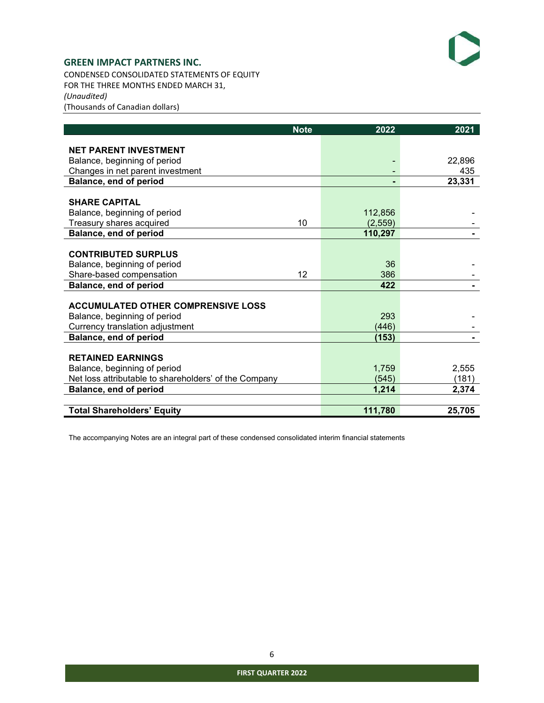

CONDENSED CONSOLIDATED STATEMENTS OF EQUITY FOR THE THREE MONTHS ENDED MARCH 31, (Unaudited) (Thousands of Canadian dollars)

|                                                       | <b>Note</b> | 2022    | 2021   |
|-------------------------------------------------------|-------------|---------|--------|
| <b>NET PARENT INVESTMENT</b>                          |             |         |        |
| Balance, beginning of period                          |             |         | 22.896 |
| Changes in net parent investment                      |             |         | 435    |
| Balance, end of period                                |             |         | 23,331 |
|                                                       |             |         |        |
| <b>SHARE CAPITAL</b>                                  |             |         |        |
| Balance, beginning of period                          |             | 112,856 |        |
| Treasury shares acquired                              | 10          | (2,559) |        |
| Balance, end of period                                |             | 110,297 |        |
|                                                       |             |         |        |
| <b>CONTRIBUTED SURPLUS</b>                            |             |         |        |
| Balance, beginning of period                          |             | 36      |        |
| Share-based compensation                              | 12          | 386     |        |
| Balance, end of period                                |             | 422     |        |
|                                                       |             |         |        |
| <b>ACCUMULATED OTHER COMPRENSIVE LOSS</b>             |             |         |        |
| Balance, beginning of period                          |             | 293     |        |
| Currency translation adjustment                       |             | (446)   |        |
| <b>Balance, end of period</b>                         |             | (153)   |        |
|                                                       |             |         |        |
| <b>RETAINED EARNINGS</b>                              |             |         |        |
| Balance, beginning of period                          |             | 1.759   | 2.555  |
| Net loss attributable to shareholders' of the Company |             | (545)   | (181)  |
| Balance, end of period                                |             | 1,214   | 2,374  |
|                                                       |             |         |        |
| <b>Total Shareholders' Equity</b>                     |             | 111,780 | 25,705 |

The accompanying Notes are an integral part of these condensed consolidated interim financial statements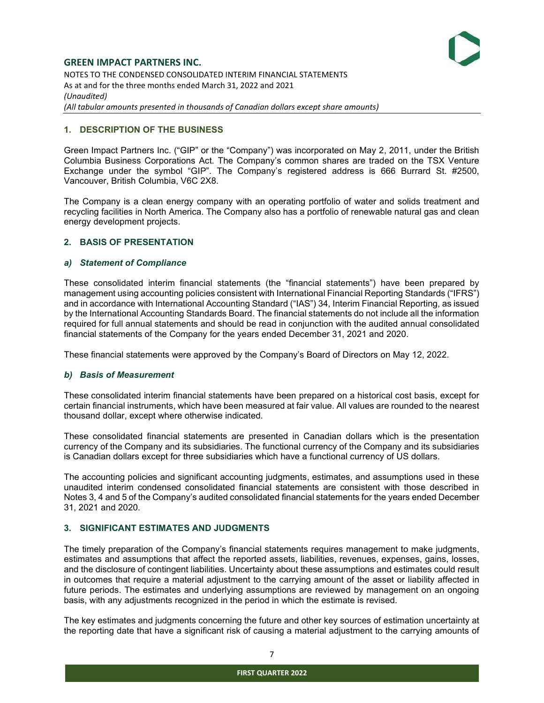## GREEN IMPACT PARTNERS INC. NOTES TO THE CONDENSED CONSOLIDATED INTERIM FINANCIAL STATEMENTS As at and for the three months ended March 31, 2022 and 2021 (Unaudited) (All tabular amounts presented in thousands of Canadian dollars except share amounts)

## 1. DESCRIPTION OF THE BUSINESS

Green Impact Partners Inc. ("GIP" or the "Company") was incorporated on May 2, 2011, under the British Columbia Business Corporations Act. The Company's common shares are traded on the TSX Venture Exchange under the symbol "GIP". The Company's registered address is 666 Burrard St. #2500, Vancouver, British Columbia, V6C 2X8.

The Company is a clean energy company with an operating portfolio of water and solids treatment and recycling facilities in North America. The Company also has a portfolio of renewable natural gas and clean energy development projects.

## 2. BASIS OF PRESENTATION

#### a) Statement of Compliance

These consolidated interim financial statements (the "financial statements") have been prepared by management using accounting policies consistent with International Financial Reporting Standards ("IFRS") and in accordance with International Accounting Standard ("IAS") 34, Interim Financial Reporting, as issued by the International Accounting Standards Board. The financial statements do not include all the information required for full annual statements and should be read in conjunction with the audited annual consolidated financial statements of the Company for the years ended December 31, 2021 and 2020.

These financial statements were approved by the Company's Board of Directors on May 12, 2022.

#### b) Basis of Measurement

These consolidated interim financial statements have been prepared on a historical cost basis, except for certain financial instruments, which have been measured at fair value. All values are rounded to the nearest thousand dollar, except where otherwise indicated.

These consolidated financial statements are presented in Canadian dollars which is the presentation currency of the Company and its subsidiaries. The functional currency of the Company and its subsidiaries is Canadian dollars except for three subsidiaries which have a functional currency of US dollars.

The accounting policies and significant accounting judgments, estimates, and assumptions used in these unaudited interim condensed consolidated financial statements are consistent with those described in Notes 3, 4 and 5 of the Company's audited consolidated financial statements for the years ended December 31, 2021 and 2020.

# 3. SIGNIFICANT ESTIMATES AND JUDGMENTS

The timely preparation of the Company's financial statements requires management to make judgments, estimates and assumptions that affect the reported assets, liabilities, revenues, expenses, gains, losses, and the disclosure of contingent liabilities. Uncertainty about these assumptions and estimates could result in outcomes that require a material adjustment to the carrying amount of the asset or liability affected in future periods. The estimates and underlying assumptions are reviewed by management on an ongoing basis, with any adjustments recognized in the period in which the estimate is revised.

The key estimates and judgments concerning the future and other key sources of estimation uncertainty at the reporting date that have a significant risk of causing a material adjustment to the carrying amounts of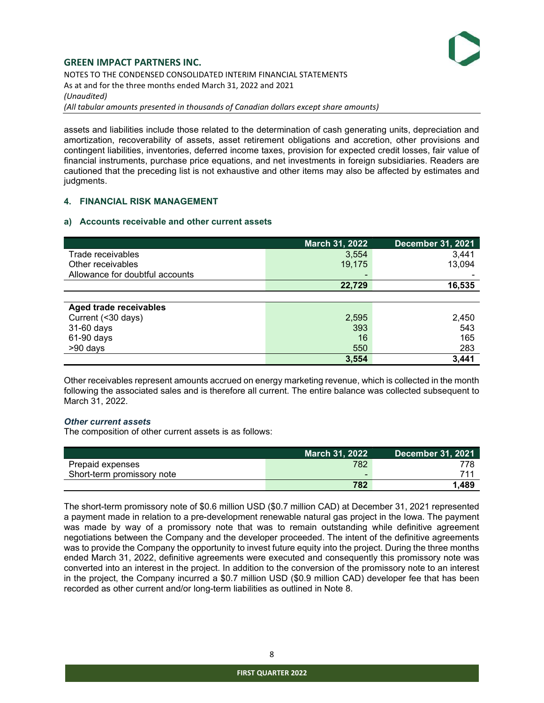

# GREEN IMPACT PARTNERS INC. NOTES TO THE CONDENSED CONSOLIDATED INTERIM FINANCIAL STATEMENTS As at and for the three months ended March 31, 2022 and 2021 (Unaudited)

(All tabular amounts presented in thousands of Canadian dollars except share amounts)

assets and liabilities include those related to the determination of cash generating units, depreciation and amortization, recoverability of assets, asset retirement obligations and accretion, other provisions and contingent liabilities, inventories, deferred income taxes, provision for expected credit losses, fair value of financial instruments, purchase price equations, and net investments in foreign subsidiaries. Readers are cautioned that the preceding list is not exhaustive and other items may also be affected by estimates and judgments.

## 4. FINANCIAL RISK MANAGEMENT

## a) Accounts receivable and other current assets

|                                 | <b>March 31, 2022</b> | <b>December 31, 2021</b> |
|---------------------------------|-----------------------|--------------------------|
| Trade receivables               | 3,554                 | 3,441                    |
| Other receivables               | 19,175                | 13,094                   |
| Allowance for doubtful accounts | -                     |                          |
|                                 | 22,729                | 16,535                   |
|                                 |                       |                          |
| <b>Aged trade receivables</b>   |                       |                          |
| Current (<30 days)              | 2,595                 | 2,450                    |
| 31-60 days                      | 393                   | 543                      |
| 61-90 days                      | 16                    | 165                      |
| >90 days                        | 550                   | 283                      |
|                                 | 3,554                 | 3.441                    |

Other receivables represent amounts accrued on energy marketing revenue, which is collected in the month following the associated sales and is therefore all current. The entire balance was collected subsequent to March 31, 2022.

## Other current assets

The composition of other current assets is as follows:

|                            | <b>March 31, 2022</b> | <b>December 31, 2021</b> |
|----------------------------|-----------------------|--------------------------|
| Prepaid expenses           | 782                   | 778                      |
| Short-term promissory note | $\blacksquare$        | 711                      |
|                            | 782                   | .489                     |

The short-term promissory note of \$0.6 million USD (\$0.7 million CAD) at December 31, 2021 represented a payment made in relation to a pre-development renewable natural gas project in the Iowa. The payment was made by way of a promissory note that was to remain outstanding while definitive agreement negotiations between the Company and the developer proceeded. The intent of the definitive agreements was to provide the Company the opportunity to invest future equity into the project. During the three months ended March 31, 2022, definitive agreements were executed and consequently this promissory note was converted into an interest in the project. In addition to the conversion of the promissory note to an interest in the project, the Company incurred a \$0.7 million USD (\$0.9 million CAD) developer fee that has been recorded as other current and/or long-term liabilities as outlined in Note 8.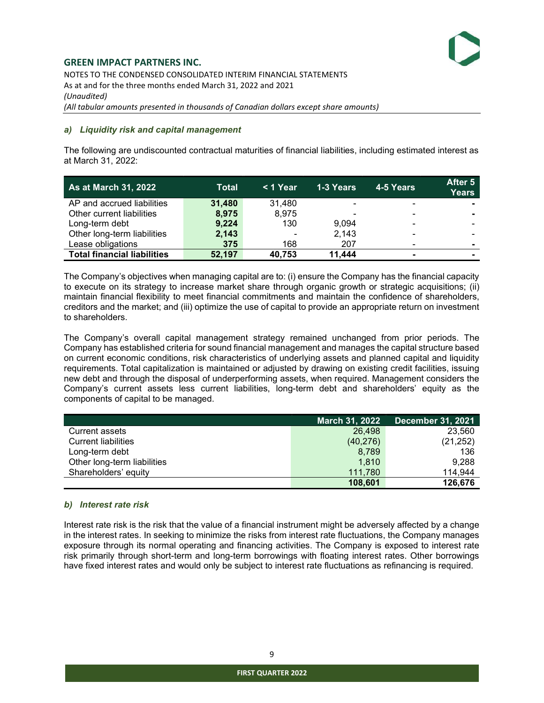NOTES TO THE CONDENSED CONSOLIDATED INTERIM FINANCIAL STATEMENTS As at and for the three months ended March 31, 2022 and 2021 (Unaudited) (All tabular amounts presented in thousands of Canadian dollars except share amounts)

#### a) Liquidity risk and capital management

The following are undiscounted contractual maturities of financial liabilities, including estimated interest as at March 31, 2022:

| <b>As at March 31, 2022</b>        | Total  | < 1 Year                 | 1-3 Years      | 4-5 Years | After 5<br><b>Years</b> |
|------------------------------------|--------|--------------------------|----------------|-----------|-------------------------|
| AP and accrued liabilities         | 31,480 | 31.480                   | $\blacksquare$ |           |                         |
| Other current liabilities          | 8,975  | 8,975                    | ۰              |           | $\blacksquare$          |
| Long-term debt                     | 9,224  | 130                      | 9.094          |           | . .                     |
| Other long-term liabilities        | 2,143  | $\overline{\phantom{0}}$ | 2,143          |           |                         |
| Lease obligations                  | 375    | 168                      | 207            |           | $\blacksquare$          |
| <b>Total financial liabilities</b> | 52,197 | 40,753                   | 11.444         |           |                         |

The Company's objectives when managing capital are to: (i) ensure the Company has the financial capacity to execute on its strategy to increase market share through organic growth or strategic acquisitions; (ii) maintain financial flexibility to meet financial commitments and maintain the confidence of shareholders, creditors and the market; and (iii) optimize the use of capital to provide an appropriate return on investment to shareholders.

The Company's overall capital management strategy remained unchanged from prior periods. The Company has established criteria for sound financial management and manages the capital structure based on current economic conditions, risk characteristics of underlying assets and planned capital and liquidity requirements. Total capitalization is maintained or adjusted by drawing on existing credit facilities, issuing new debt and through the disposal of underperforming assets, when required. Management considers the Company's current assets less current liabilities, long-term debt and shareholders' equity as the components of capital to be managed.

|                             | <b>March 31, 2022</b> | <b>December 31, 2021</b> |
|-----------------------------|-----------------------|--------------------------|
| Current assets              | 26.498                | 23,560                   |
| <b>Current liabilities</b>  | (40, 276)             | (21, 252)                |
| Long-term debt              | 8.789                 | 136                      |
| Other long-term liabilities | 1,810                 | 9,288                    |
| Shareholders' equity        | 111.780               | 114,944                  |
|                             | 108,601               | 126,676                  |

## b) Interest rate risk

Interest rate risk is the risk that the value of a financial instrument might be adversely affected by a change in the interest rates. In seeking to minimize the risks from interest rate fluctuations, the Company manages exposure through its normal operating and financing activities. The Company is exposed to interest rate risk primarily through short-term and long-term borrowings with floating interest rates. Other borrowings have fixed interest rates and would only be subject to interest rate fluctuations as refinancing is required.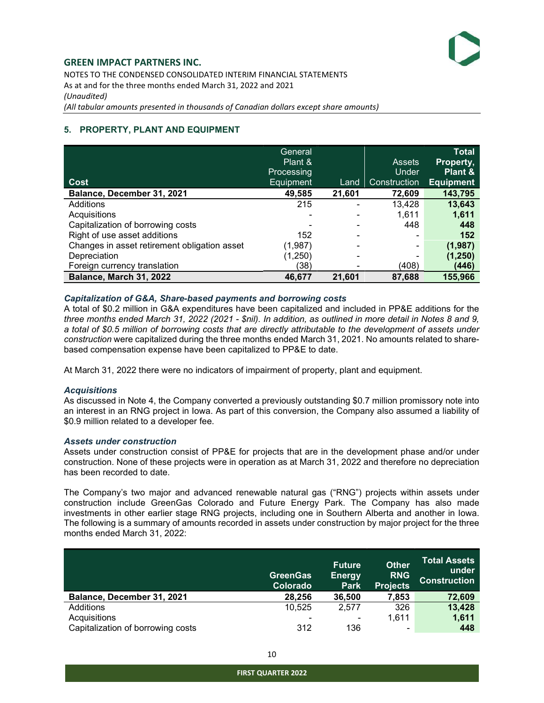NOTES TO THE CONDENSED CONSOLIDATED INTERIM FINANCIAL STATEMENTS As at and for the three months ended March 31, 2022 and 2021 (Unaudited) (All tabular amounts presented in thousands of Canadian dollars except share amounts)

# 5. PROPERTY, PLANT AND EQUIPMENT

| <b>Cost</b>                                  | General<br>Plant &<br>Processing<br>Equipment | Land   | <b>Assets</b><br>Under<br>Construction | <b>Total</b><br><b>Property,</b><br>Plant &<br><b>Equipment</b> |
|----------------------------------------------|-----------------------------------------------|--------|----------------------------------------|-----------------------------------------------------------------|
| Balance, December 31, 2021                   | 49,585                                        | 21,601 | 72,609                                 | 143,795                                                         |
| Additions                                    | 215                                           |        | 13,428                                 | 13,643                                                          |
| Acquisitions                                 |                                               |        | 1.611                                  | 1,611                                                           |
| Capitalization of borrowing costs            |                                               |        | 448                                    | 448                                                             |
| Right of use asset additions                 | 152                                           |        |                                        | 152                                                             |
| Changes in asset retirement obligation asset | (1,987)                                       |        | ۰                                      | (1,987)                                                         |
| Depreciation                                 | (1,250)                                       |        |                                        | (1, 250)                                                        |
| Foreign currency translation                 | (38)                                          |        | (408)                                  | (446)                                                           |
| Balance, March 31, 2022                      | 46,677                                        | 21,601 | 87,688                                 | 155,966                                                         |

## Capitalization of G&A, Share-based payments and borrowing costs

A total of \$0.2 million in G&A expenditures have been capitalized and included in PP&E additions for the three months ended March 31, 2022 (2021 - \$nil). In addition, as outlined in more detail in Notes 8 and 9, a total of \$0.5 million of borrowing costs that are directly attributable to the development of assets under construction were capitalized during the three months ended March 31, 2021. No amounts related to sharebased compensation expense have been capitalized to PP&E to date.

At March 31, 2022 there were no indicators of impairment of property, plant and equipment.

## **Acquisitions**

As discussed in Note 4, the Company converted a previously outstanding \$0.7 million promissory note into an interest in an RNG project in Iowa. As part of this conversion, the Company also assumed a liability of \$0.9 million related to a developer fee.

#### Assets under construction

Assets under construction consist of PP&E for projects that are in the development phase and/or under construction. None of these projects were in operation as at March 31, 2022 and therefore no depreciation has been recorded to date.

The Company's two major and advanced renewable natural gas ("RNG") projects within assets under construction include GreenGas Colorado and Future Energy Park. The Company has also made investments in other earlier stage RNG projects, including one in Southern Alberta and another in Iowa. The following is a summary of amounts recorded in assets under construction by major project for the three months ended March 31, 2022:

|                                   | <b>GreenGas</b><br><b>Colorado</b> | <b>Future</b><br><b>Energy</b><br><b>Park</b> | <b>Other</b><br><b>RNG</b><br><b>Projects</b> | <b>Total Assets</b><br>under<br><b>Construction</b> |
|-----------------------------------|------------------------------------|-----------------------------------------------|-----------------------------------------------|-----------------------------------------------------|
| Balance, December 31, 2021        | 28,256                             | 36,500                                        | 7,853                                         | 72,609                                              |
| Additions                         | 10,525                             | 2.577                                         | 326                                           | 13,428                                              |
| Acquisitions                      | ۰                                  |                                               | 1.611                                         | 1,611                                               |
| Capitalization of borrowing costs | 312                                | 136                                           |                                               | 448                                                 |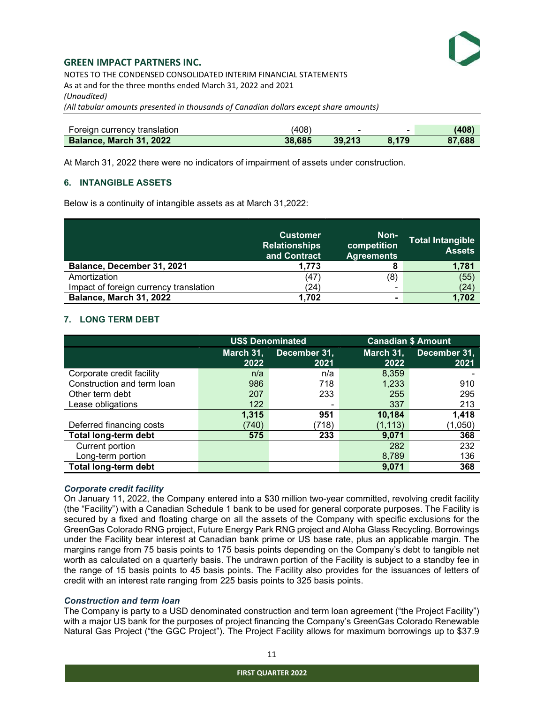NOTES TO THE CONDENSED CONSOLIDATED INTERIM FINANCIAL STATEMENTS As at and for the three months ended March 31, 2022 and 2021 (Unaudited) (All tabular amounts presented in thousands of Canadian dollars except share amounts)

| Foreign currency translation   | (408)  |        |       | (408)  |
|--------------------------------|--------|--------|-------|--------|
| <b>Balance, March 31, 2022</b> | 38.685 | 39.213 | 8.179 | 87.688 |

At March 31, 2022 there were no indicators of impairment of assets under construction.

## 6. INTANGIBLE ASSETS

Below is a continuity of intangible assets as at March 31,2022:

|                                        | <b>Customer</b><br><b>Relationships</b><br>and Contract | Non-<br>competition<br><b>Agreements</b> | <b>Total Intangible</b><br><b>Assets</b> |
|----------------------------------------|---------------------------------------------------------|------------------------------------------|------------------------------------------|
| Balance, December 31, 2021             | 1.773                                                   |                                          | 1,781                                    |
| Amortization                           | (47                                                     | (8)                                      | (55)                                     |
| Impact of foreign currency translation | (24)                                                    |                                          | (24)                                     |
| Balance, March 31, 2022                | 1,702                                                   | $\overline{\phantom{a}}$                 | 1,702                                    |

#### 7. LONG TERM DEBT

|                             |           | <b>US\$ Denominated</b> |           | <b>Canadian \$ Amount</b> |
|-----------------------------|-----------|-------------------------|-----------|---------------------------|
|                             | March 31, | December 31,            | March 31, | December 31,              |
|                             | 2022      | 2021                    | 2022      | 2021                      |
| Corporate credit facility   | n/a       | n/a                     | 8,359     |                           |
| Construction and term loan  | 986       | 718                     | 1,233     | 910                       |
| Other term debt             | 207       | 233                     | 255       | 295                       |
| Lease obligations           | 122       | ۰                       | 337       | 213                       |
|                             | 1,315     | 951                     | 10,184    | 1,418                     |
| Deferred financing costs    | (740)     | (718)                   | (1, 113)  | (1,050)                   |
| Total long-term debt        | 575       | 233                     | 9.071     | 368                       |
| Current portion             |           |                         | 282       | 232                       |
| Long-term portion           |           |                         | 8,789     | 136                       |
| <b>Total long-term debt</b> |           |                         | 9,071     | 368                       |

## Corporate credit facility

On January 11, 2022, the Company entered into a \$30 million two-year committed, revolving credit facility (the "Facility") with a Canadian Schedule 1 bank to be used for general corporate purposes. The Facility is secured by a fixed and floating charge on all the assets of the Company with specific exclusions for the GreenGas Colorado RNG project, Future Energy Park RNG project and Aloha Glass Recycling. Borrowings under the Facility bear interest at Canadian bank prime or US base rate, plus an applicable margin. The margins range from 75 basis points to 175 basis points depending on the Company's debt to tangible net worth as calculated on a quarterly basis. The undrawn portion of the Facility is subject to a standby fee in the range of 15 basis points to 45 basis points. The Facility also provides for the issuances of letters of credit with an interest rate ranging from 225 basis points to 325 basis points.

## Construction and term loan

The Company is party to a USD denominated construction and term loan agreement ("the Project Facility") with a major US bank for the purposes of project financing the Company's GreenGas Colorado Renewable Natural Gas Project ("the GGC Project"). The Project Facility allows for maximum borrowings up to \$37.9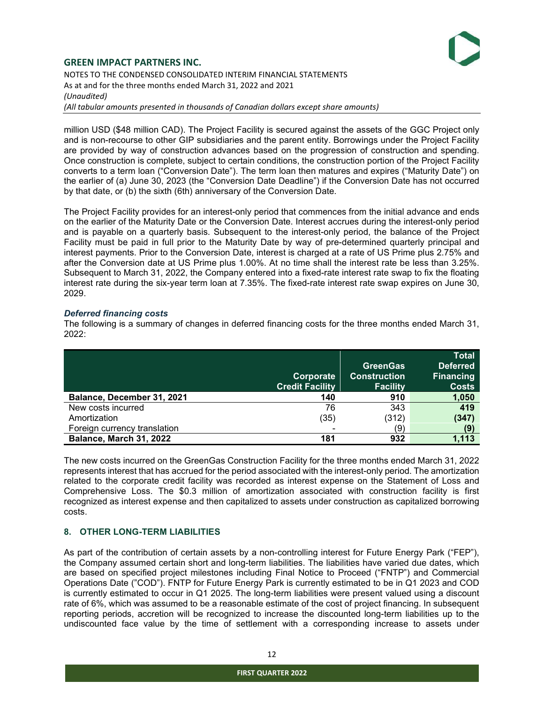

## GREEN IMPACT PARTNERS INC. NOTES TO THE CONDENSED CONSOLIDATED INTERIM FINANCIAL STATEMENTS As at and for the three months ended March 31, 2022 and 2021 (Unaudited) (All tabular amounts presented in thousands of Canadian dollars except share amounts)

million USD (\$48 million CAD). The Project Facility is secured against the assets of the GGC Project only and is non-recourse to other GIP subsidiaries and the parent entity. Borrowings under the Project Facility are provided by way of construction advances based on the progression of construction and spending. Once construction is complete, subject to certain conditions, the construction portion of the Project Facility converts to a term loan ("Conversion Date"). The term loan then matures and expires ("Maturity Date") on the earlier of (a) June 30, 2023 (the "Conversion Date Deadline") if the Conversion Date has not occurred by that date, or (b) the sixth (6th) anniversary of the Conversion Date.

The Project Facility provides for an interest-only period that commences from the initial advance and ends on the earlier of the Maturity Date or the Conversion Date. Interest accrues during the interest-only period and is payable on a quarterly basis. Subsequent to the interest-only period, the balance of the Project Facility must be paid in full prior to the Maturity Date by way of pre-determined quarterly principal and interest payments. Prior to the Conversion Date, interest is charged at a rate of US Prime plus 2.75% and after the Conversion date at US Prime plus 1.00%. At no time shall the interest rate be less than 3.25%. Subsequent to March 31, 2022, the Company entered into a fixed-rate interest rate swap to fix the floating interest rate during the six-year term loan at 7.35%. The fixed-rate interest rate swap expires on June 30, 2029.

## Deferred financing costs

The following is a summary of changes in deferred financing costs for the three months ended March 31, 2022:

|                              | Corporate<br><b>Credit Facility</b> | <b>GreenGas</b><br><b>Construction</b><br><b>Facility</b> | <b>Total</b><br><b>Deferred</b><br><b>Financing</b><br><b>Costs</b> |
|------------------------------|-------------------------------------|-----------------------------------------------------------|---------------------------------------------------------------------|
| Balance, December 31, 2021   | 140                                 | 910                                                       | 1,050                                                               |
| New costs incurred           | 76                                  | 343                                                       | 419                                                                 |
| Amortization                 | (35)                                | (312)                                                     | (347)                                                               |
| Foreign currency translation | $\blacksquare$                      | (9)                                                       | (9)                                                                 |
| Balance, March 31, 2022      | 181                                 | 932                                                       | 1,113                                                               |

The new costs incurred on the GreenGas Construction Facility for the three months ended March 31, 2022 represents interest that has accrued for the period associated with the interest-only period. The amortization related to the corporate credit facility was recorded as interest expense on the Statement of Loss and Comprehensive Loss. The \$0.3 million of amortization associated with construction facility is first recognized as interest expense and then capitalized to assets under construction as capitalized borrowing costs.

# 8. OTHER LONG-TERM LIABILITIES

As part of the contribution of certain assets by a non-controlling interest for Future Energy Park ("FEP"), the Company assumed certain short and long-term liabilities. The liabilities have varied due dates, which are based on specified project milestones including Final Notice to Proceed ("FNTP") and Commercial Operations Date ("COD"). FNTP for Future Energy Park is currently estimated to be in Q1 2023 and COD is currently estimated to occur in Q1 2025. The long-term liabilities were present valued using a discount rate of 6%, which was assumed to be a reasonable estimate of the cost of project financing. In subsequent reporting periods, accretion will be recognized to increase the discounted long-term liabilities up to the undiscounted face value by the time of settlement with a corresponding increase to assets under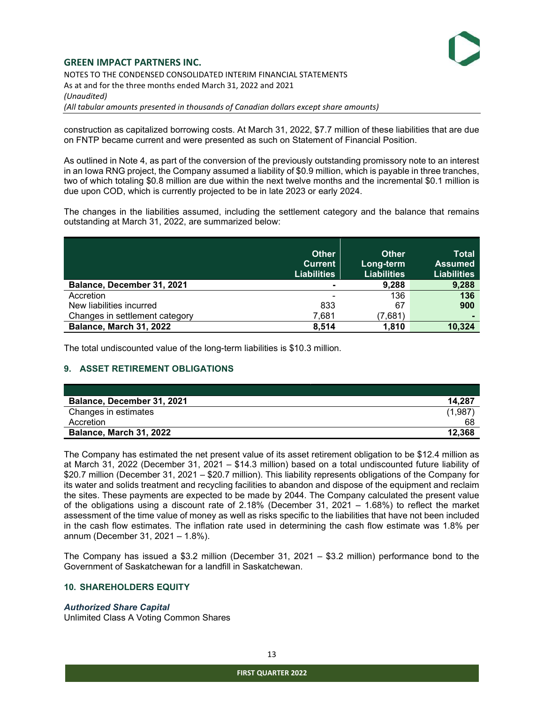

# GREEN IMPACT PARTNERS INC. NOTES TO THE CONDENSED CONSOLIDATED INTERIM FINANCIAL STATEMENTS As at and for the three months ended March 31, 2022 and 2021 (Unaudited)

(All tabular amounts presented in thousands of Canadian dollars except share amounts)

construction as capitalized borrowing costs. At March 31, 2022, \$7.7 million of these liabilities that are due on FNTP became current and were presented as such on Statement of Financial Position.

As outlined in Note 4, as part of the conversion of the previously outstanding promissory note to an interest in an Iowa RNG project, the Company assumed a liability of \$0.9 million, which is payable in three tranches, two of which totaling \$0.8 million are due within the next twelve months and the incremental \$0.1 million is due upon COD, which is currently projected to be in late 2023 or early 2024.

The changes in the liabilities assumed, including the settlement category and the balance that remains outstanding at March 31, 2022, are summarized below:

|                                | <b>Other</b><br><b>Current</b><br><b>Liabilities</b> | <b>Other</b><br>Long-term<br><b>Liabilities</b> | Total<br><b>Assumed</b><br>Liabilities |
|--------------------------------|------------------------------------------------------|-------------------------------------------------|----------------------------------------|
| Balance, December 31, 2021     | $\blacksquare$                                       | 9,288                                           | 9,288                                  |
| Accretion                      | $\overline{\phantom{a}}$                             | 136                                             | 136                                    |
| New liabilities incurred       | 833                                                  | 67                                              | 900                                    |
| Changes in settlement category | 7,681                                                | (7,681)                                         |                                        |
| <b>Balance, March 31, 2022</b> | 8,514                                                | 1.810                                           | 10,324                                 |

The total undiscounted value of the long-term liabilities is \$10.3 million.

## 9. ASSET RETIREMENT OBLIGATIONS

| Balance, December 31, 2021     | 14,287  |
|--------------------------------|---------|
| Changes in estimates           | (1,987) |
| Accretion                      | 68      |
| <b>Balance, March 31, 2022</b> | 12,368  |

The Company has estimated the net present value of its asset retirement obligation to be \$12.4 million as at March 31, 2022 (December 31, 2021 – \$14.3 million) based on a total undiscounted future liability of \$20.7 million (December 31, 2021 – \$20.7 million). This liability represents obligations of the Company for its water and solids treatment and recycling facilities to abandon and dispose of the equipment and reclaim the sites. These payments are expected to be made by 2044. The Company calculated the present value of the obligations using a discount rate of 2.18% (December 31, 2021  $-$  1.68%) to reflect the market assessment of the time value of money as well as risks specific to the liabilities that have not been included in the cash flow estimates. The inflation rate used in determining the cash flow estimate was 1.8% per annum (December 31, 2021 – 1.8%).

The Company has issued a \$3.2 million (December 31, 2021 – \$3.2 million) performance bond to the Government of Saskatchewan for a landfill in Saskatchewan.

#### 10. SHAREHOLDERS EQUITY

#### Authorized Share Capital

Unlimited Class A Voting Common Shares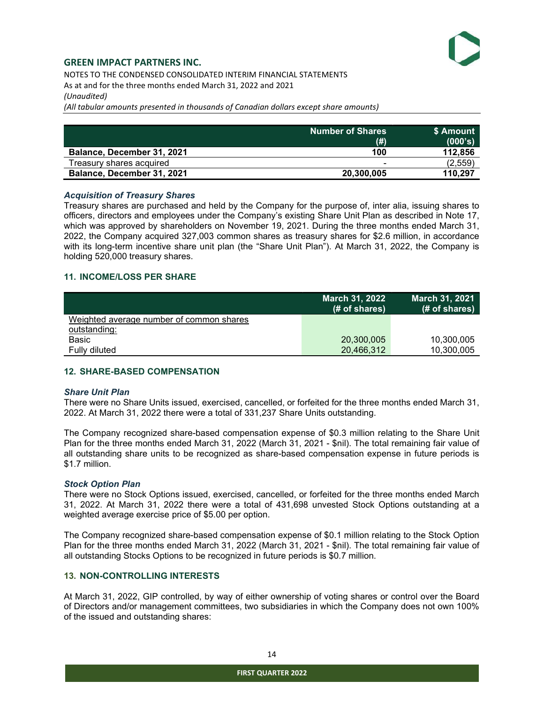NOTES TO THE CONDENSED CONSOLIDATED INTERIM FINANCIAL STATEMENTS As at and for the three months ended March 31, 2022 and 2021 (Unaudited)

(All tabular amounts presented in thousands of Canadian dollars except share amounts)

|                            | Number of Shares. N      | \$ Amount |
|----------------------------|--------------------------|-----------|
|                            | (# )                     | (000's)   |
| Balance, December 31, 2021 | 100                      | 112,856   |
| Treasurv shares acquired   | $\overline{\phantom{0}}$ | (2, 559)  |
| Balance, December 31, 2021 | 20.300.005               | 110,297   |

#### Acquisition of Treasury Shares

Treasury shares are purchased and held by the Company for the purpose of, inter alia, issuing shares to officers, directors and employees under the Company's existing Share Unit Plan as described in Note 17, which was approved by shareholders on November 19, 2021. During the three months ended March 31, 2022, the Company acquired 327,003 common shares as treasury shares for \$2.6 million, in accordance with its long-term incentive share unit plan (the "Share Unit Plan"). At March 31, 2022, the Company is holding 520,000 treasury shares.

#### 11. INCOME/LOSS PER SHARE

|                                          | <b>March 31, 2022</b><br>(# of shares) | <b>March 31, 2021</b><br>(# of shares) |
|------------------------------------------|----------------------------------------|----------------------------------------|
| Weighted average number of common shares |                                        |                                        |
| outstanding:                             |                                        |                                        |
| Basic                                    | 20,300,005                             | 10,300,005                             |
| Fully diluted                            | 20,466,312                             | 10,300,005                             |

## 12. SHARE-BASED COMPENSATION

#### Share Unit Plan

There were no Share Units issued, exercised, cancelled, or forfeited for the three months ended March 31, 2022. At March 31, 2022 there were a total of 331,237 Share Units outstanding.

The Company recognized share-based compensation expense of \$0.3 million relating to the Share Unit Plan for the three months ended March 31, 2022 (March 31, 2021 - \$nil). The total remaining fair value of all outstanding share units to be recognized as share-based compensation expense in future periods is \$1.7 million.

#### Stock Option Plan

There were no Stock Options issued, exercised, cancelled, or forfeited for the three months ended March 31, 2022. At March 31, 2022 there were a total of 431,698 unvested Stock Options outstanding at a weighted average exercise price of \$5.00 per option.

The Company recognized share-based compensation expense of \$0.1 million relating to the Stock Option Plan for the three months ended March 31, 2022 (March 31, 2021 - \$nil). The total remaining fair value of all outstanding Stocks Options to be recognized in future periods is \$0.7 million.

#### 13. NON-CONTROLLING INTERESTS

At March 31, 2022, GIP controlled, by way of either ownership of voting shares or control over the Board of Directors and/or management committees, two subsidiaries in which the Company does not own 100% of the issued and outstanding shares: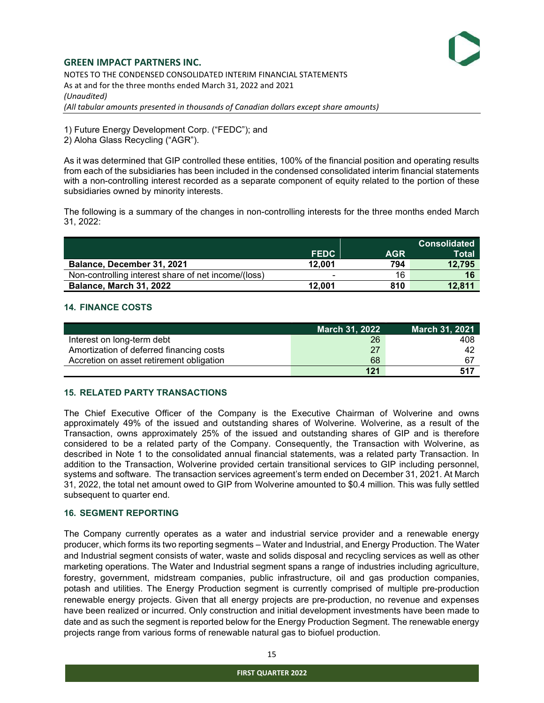NOTES TO THE CONDENSED CONSOLIDATED INTERIM FINANCIAL STATEMENTS As at and for the three months ended March 31, 2022 and 2021 (Unaudited) (All tabular amounts presented in thousands of Canadian dollars except share amounts)

1) Future Energy Development Corp. ("FEDC"); and

2) Aloha Glass Recycling ("AGR").

As it was determined that GIP controlled these entities, 100% of the financial position and operating results from each of the subsidiaries has been included in the condensed consolidated interim financial statements with a non-controlling interest recorded as a separate component of equity related to the portion of these subsidiaries owned by minority interests.

The following is a summary of the changes in non-controlling interests for the three months ended March 31, 2022:

|                                                     |             |            | <b>Consolidated</b> |
|-----------------------------------------------------|-------------|------------|---------------------|
|                                                     | <b>FEDC</b> | <b>AGR</b> | Total               |
| Balance, December 31, 2021                          | 12.001      | 794        | 12,795              |
| Non-controlling interest share of net income/(loss) | $\,$        | 16         | 16                  |
| <b>Balance, March 31, 2022</b>                      | 12.001      | 810        | 12.811              |

# 14. FINANCE COSTS

|                                          | <b>March 31, 2022</b> | March 31, 2021 |
|------------------------------------------|-----------------------|----------------|
| Interest on long-term debt               | 26                    | 408            |
| Amortization of deferred financing costs | 27                    | 42             |
| Accretion on asset retirement obligation | 68                    |                |
|                                          | 121                   | 517            |

# 15. RELATED PARTY TRANSACTIONS

The Chief Executive Officer of the Company is the Executive Chairman of Wolverine and owns approximately 49% of the issued and outstanding shares of Wolverine. Wolverine, as a result of the Transaction, owns approximately 25% of the issued and outstanding shares of GIP and is therefore considered to be a related party of the Company. Consequently, the Transaction with Wolverine, as described in Note 1 to the consolidated annual financial statements, was a related party Transaction. In addition to the Transaction, Wolverine provided certain transitional services to GIP including personnel, systems and software. The transaction services agreement's term ended on December 31, 2021. At March 31, 2022, the total net amount owed to GIP from Wolverine amounted to \$0.4 million. This was fully settled subsequent to quarter end.

## 16. SEGMENT REPORTING

The Company currently operates as a water and industrial service provider and a renewable energy producer, which forms its two reporting segments – Water and Industrial, and Energy Production. The Water and Industrial segment consists of water, waste and solids disposal and recycling services as well as other marketing operations. The Water and Industrial segment spans a range of industries including agriculture, forestry, government, midstream companies, public infrastructure, oil and gas production companies, potash and utilities. The Energy Production segment is currently comprised of multiple pre-production renewable energy projects. Given that all energy projects are pre-production, no revenue and expenses have been realized or incurred. Only construction and initial development investments have been made to date and as such the segment is reported below for the Energy Production Segment. The renewable energy projects range from various forms of renewable natural gas to biofuel production.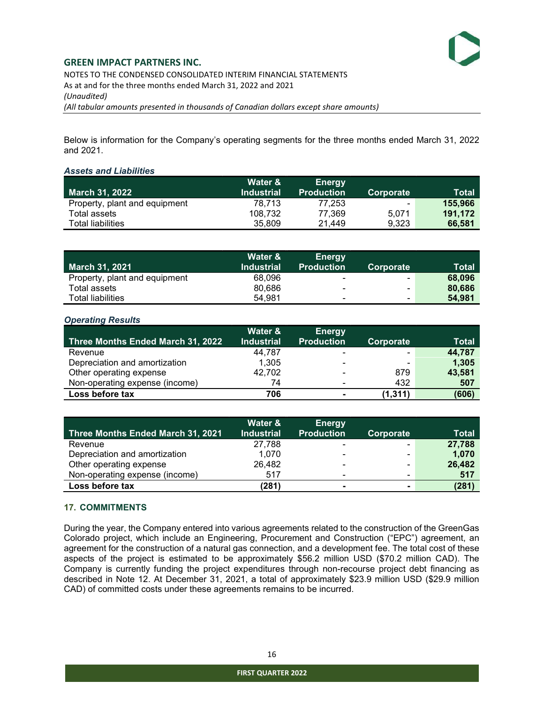NOTES TO THE CONDENSED CONSOLIDATED INTERIM FINANCIAL STATEMENTS As at and for the three months ended March 31, 2022 and 2021 (Unaudited) (All tabular amounts presented in thousands of Canadian dollars except share amounts)

Below is information for the Company's operating segments for the three months ended March 31, 2022 and 2021.

#### Assets and Liabilities

|                               | Water &           | <b>Energy</b>     |           |              |
|-------------------------------|-------------------|-------------------|-----------|--------------|
| <b>March 31, 2022</b>         | <b>Industrial</b> | <b>Production</b> | Corporate | <b>Total</b> |
| Property, plant and equipment | 78.713            | 77.253            | ٠         | 155,966      |
| Total assets                  | 108.732           | 77.369            | 5.071     | 191.172      |
| <b>Total liabilities</b>      | 35,809            | 21.449            | 9.323     | 66,581       |

|                               | Water &           | <b>Energy</b>            |                          |              |
|-------------------------------|-------------------|--------------------------|--------------------------|--------------|
| <b>March 31, 2021</b>         | <b>Industrial</b> | <b>Production</b>        | Corporate                | <b>Total</b> |
| Property, plant and equipment | 68.096            | $\overline{\phantom{0}}$ | $\sim$                   | 68,096       |
| Total assets                  | 80.686            | $\overline{\phantom{a}}$ | $\overline{\phantom{0}}$ | 80,686       |
| Total liabilities             | 54.981            | ٠                        | ٠                        | 54.981       |

#### Operating Results

|                                   | Water &           | <b>Energy</b>     |           |              |
|-----------------------------------|-------------------|-------------------|-----------|--------------|
| Three Months Ended March 31, 2022 | <b>Industrial</b> | <b>Production</b> | Corporate | <b>Total</b> |
| Revenue                           | 44.787            | $\blacksquare$    | ۰.        | 44,787       |
| Depreciation and amortization     | 1,305             | -                 |           | 1,305        |
| Other operating expense           | 42,702            |                   | 879       | 43,581       |
| Non-operating expense (income)    | 74                |                   | 432       | 507          |
| Loss before tax                   | 706               | $\blacksquare$    | (1.311)   | (606)        |

|                                   | Water &           | <b>Energy</b>     |                |        |
|-----------------------------------|-------------------|-------------------|----------------|--------|
| Three Months Ended March 31, 2021 | <b>Industrial</b> | <b>Production</b> | Corporate      | Total  |
| Revenue                           | 27,788            | $\blacksquare$    |                | 27,788 |
| Depreciation and amortization     | 1.070             | -                 | -              | 1,070  |
| Other operating expense           | 26,482            | ۰                 | ۰              | 26,482 |
| Non-operating expense (income)    | 517               | $\blacksquare$    | $\blacksquare$ | 517    |
| Loss before tax                   | (281)             | $\blacksquare$    | $\blacksquare$ | (281)  |

## 17. COMMITMENTS

During the year, the Company entered into various agreements related to the construction of the GreenGas Colorado project, which include an Engineering, Procurement and Construction ("EPC") agreement, an agreement for the construction of a natural gas connection, and a development fee. The total cost of these aspects of the project is estimated to be approximately \$56.2 million USD (\$70.2 million CAD). The Company is currently funding the project expenditures through non-recourse project debt financing as described in Note 12. At December 31, 2021, a total of approximately \$23.9 million USD (\$29.9 million CAD) of committed costs under these agreements remains to be incurred.